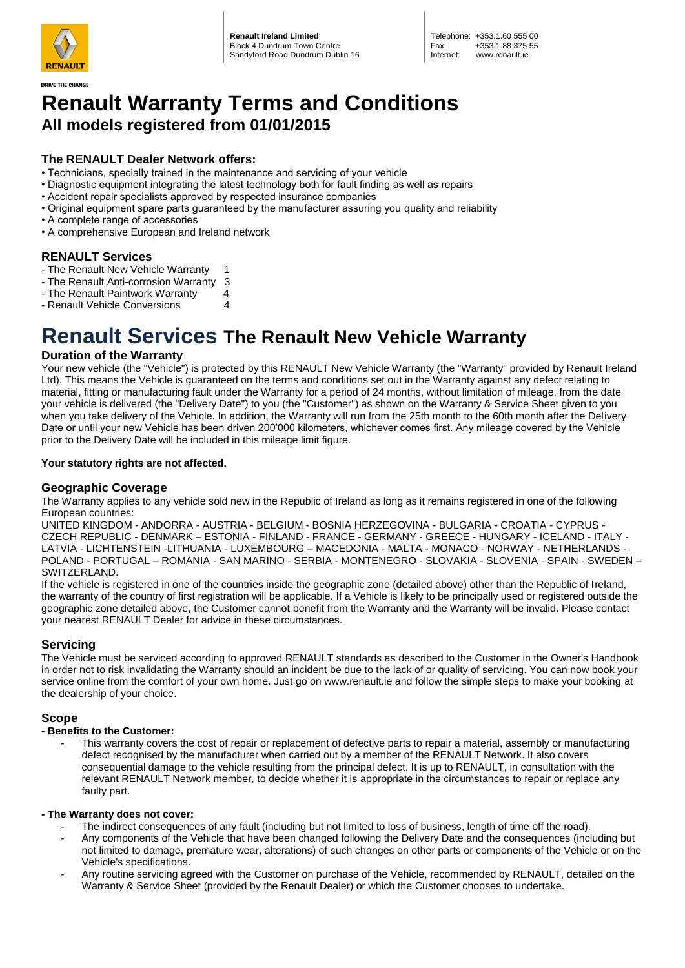

**DRIVE THE CHANGE** 

**Renault Ireland Limited** Block 4 Dundrum Town Centre Sandyford Road Dundrum Dublin 16

## **Renault Warranty Terms and Conditions All models registered from 01/01/2015**

## **The RENAULT Dealer Network offers:**

- Technicians, specially trained in the maintenance and servicing of your vehicle
- Diagnostic equipment integrating the latest technology both for fault finding as well as repairs
- Accident repair specialists approved by respected insurance companies
- Original equipment spare parts guaranteed by the manufacturer assuring you quality and reliability
- A complete range of accessories
- A comprehensive European and Ireland network

## **RENAULT Services**

- The Renault New Vehicle Warranty 1
- The Renault Anti-corrosion Warranty 3
- The Renault Paintwork Warranty 4
- Renault Vehicle Conversions 4

# **Renault Services The Renault New Vehicle Warranty**

## **Duration of the Warranty**

Your new vehicle (the "Vehicle") is protected by this RENAULT New Vehicle Warranty (the "Warranty" provided by Renault Ireland Ltd). This means the Vehicle is guaranteed on the terms and conditions set out in the Warranty against any defect relating to material, fitting or manufacturing fault under the Warranty for a period of 24 months, without limitation of mileage, from the date your vehicle is delivered (the "Delivery Date") to you (the "Customer") as shown on the Warranty & Service Sheet given to you when you take delivery of the Vehicle. In addition, the Warranty will run from the 25th month to the 60th month after the Delivery Date or until your new Vehicle has been driven 200'000 kilometers, whichever comes first. Any mileage covered by the Vehicle prior to the Delivery Date will be included in this mileage limit figure.

## **Your statutory rights are not affected.**

## **Geographic Coverage**

The Warranty applies to any vehicle sold new in the Republic of Ireland as long as it remains registered in one of the following European countries:

UNITED KINGDOM - ANDORRA - AUSTRIA - BELGIUM - BOSNIA HERZEGOVINA - BULGARIA - CROATIA - CYPRUS - CZECH REPUBLIC - DENMARK – ESTONIA - FINLAND - FRANCE - GERMANY - GREECE - HUNGARY - ICELAND - ITALY - LATVIA - LICHTENSTEIN -LITHUANIA - LUXEMBOURG – MACEDONIA - MALTA - MONACO - NORWAY - NETHERLANDS - POLAND - PORTUGAL – ROMANIA - SAN MARINO - SERBIA - MONTENEGRO - SLOVAKIA - SLOVENIA - SPAIN - SWEDEN – SWITZERLAND.

If the vehicle is registered in one of the countries inside the geographic zone (detailed above) other than the Republic of Ireland, the warranty of the country of first registration will be applicable. If a Vehicle is likely to be principally used or registered outside the geographic zone detailed above, the Customer cannot benefit from the Warranty and the Warranty will be invalid. Please contact your nearest RENAULT Dealer for advice in these circumstances.

## **Servicing**

The Vehicle must be serviced according to approved RENAULT standards as described to the Customer in the Owner's Handbook in order not to risk invalidating the Warranty should an incident be due to the lack of or quality of servicing. You can now book your service online from the comfort of your own home. Just go on www.renault.ie and follow the simple steps to make your booking at the dealership of your choice.

## **Scope**

#### **- Benefits to the Customer:**

This warranty covers the cost of repair or replacement of defective parts to repair a material, assembly or manufacturing defect recognised by the manufacturer when carried out by a member of the RENAULT Network. It also covers consequential damage to the vehicle resulting from the principal defect. It is up to RENAULT, in consultation with the relevant RENAULT Network member, to decide whether it is appropriate in the circumstances to repair or replace any faulty part.

#### **- The Warranty does not cover:**

- The indirect consequences of any fault (including but not limited to loss of business, length of time off the road).
- Any components of the Vehicle that have been changed following the Delivery Date and the consequences (including but not limited to damage, premature wear, alterations) of such changes on other parts or components of the Vehicle or on the Vehicle's specifications.
- Any routine servicing agreed with the Customer on purchase of the Vehicle, recommended by RENAULT, detailed on the Warranty & Service Sheet (provided by the Renault Dealer) or which the Customer chooses to undertake.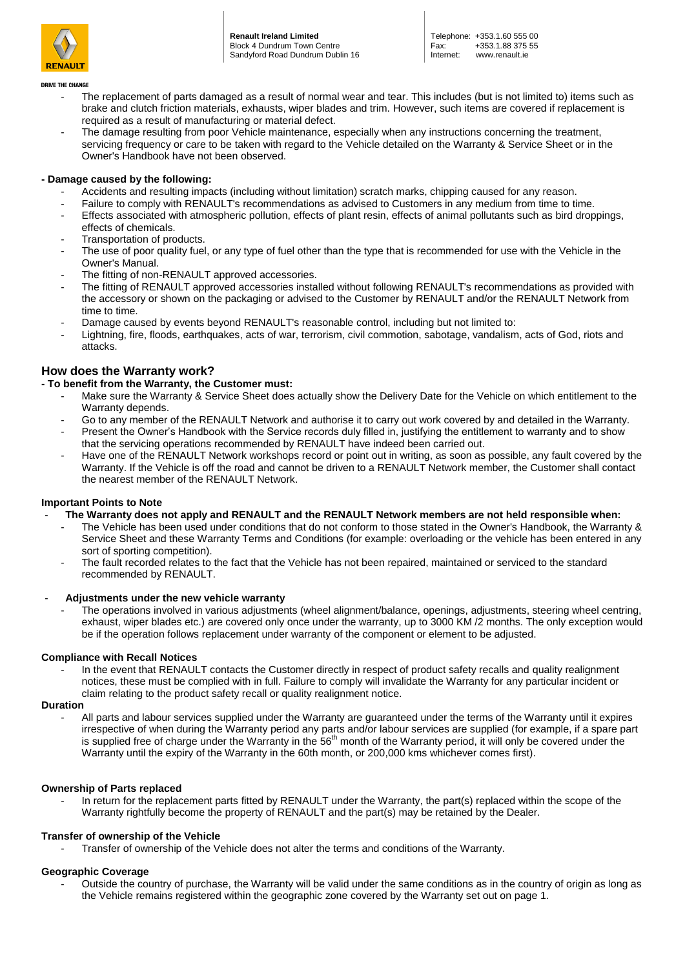

**Renault Ireland Limited** Block 4 Dundrum Town Centre Sandyford Road Dundrum Dublin 16

#### **DRIVE THE CHANGE**

- The replacement of parts damaged as a result of normal wear and tear. This includes (but is not limited to) items such as brake and clutch friction materials, exhausts, wiper blades and trim. However, such items are covered if replacement is required as a result of manufacturing or material defect.
- The damage resulting from poor Vehicle maintenance, especially when any instructions concerning the treatment, servicing frequency or care to be taken with regard to the Vehicle detailed on the Warranty & Service Sheet or in the Owner's Handbook have not been observed.

#### **- Damage caused by the following:**

- Accidents and resulting impacts (including without limitation) scratch marks, chipping caused for any reason.
- Failure to comply with RENAULT's recommendations as advised to Customers in any medium from time to time.
- Effects associated with atmospheric pollution, effects of plant resin, effects of animal pollutants such as bird droppings, effects of chemicals.
- Transportation of products.
- The use of poor quality fuel, or any type of fuel other than the type that is recommended for use with the Vehicle in the Owner's Manual.
- The fitting of non-RENAULT approved accessories.
- The fitting of RENAULT approved accessories installed without following RENAULT's recommendations as provided with the accessory or shown on the packaging or advised to the Customer by RENAULT and/or the RENAULT Network from time to time.
- Damage caused by events beyond RENAULT's reasonable control, including but not limited to:
- Lightning, fire, floods, earthquakes, acts of war, terrorism, civil commotion, sabotage, vandalism, acts of God, riots and attacks.

## **How does the Warranty work?**

#### **- To benefit from the Warranty, the Customer must:**

- Make sure the Warranty & Service Sheet does actually show the Delivery Date for the Vehicle on which entitlement to the Warranty depends.
- Go to any member of the RENAULT Network and authorise it to carry out work covered by and detailed in the Warranty.
- Present the Owner's Handbook with the Service records duly filled in, justifying the entitlement to warranty and to show that the servicing operations recommended by RENAULT have indeed been carried out.
- Have one of the RENAULT Network workshops record or point out in writing, as soon as possible, any fault covered by the Warranty. If the Vehicle is off the road and cannot be driven to a RENAULT Network member, the Customer shall contact the nearest member of the RENAULT Network.

#### **Important Points to Note**

- **The Warranty does not apply and RENAULT and the RENAULT Network members are not held responsible when:**
	- The Vehicle has been used under conditions that do not conform to those stated in the Owner's Handbook, the Warranty & Service Sheet and these Warranty Terms and Conditions (for example: overloading or the vehicle has been entered in any sort of sporting competition).
	- The fault recorded relates to the fact that the Vehicle has not been repaired, maintained or serviced to the standard recommended by RENAULT.
- **Adjustments under the new vehicle warranty**
	- The operations involved in various adjustments (wheel alignment/balance, openings, adjustments, steering wheel centring, exhaust, wiper blades etc.) are covered only once under the warranty, up to 3000 KM /2 months. The only exception would be if the operation follows replacement under warranty of the component or element to be adjusted.

#### **Compliance with Recall Notices**

In the event that RENAULT contacts the Customer directly in respect of product safety recalls and quality realignment notices, these must be complied with in full. Failure to comply will invalidate the Warranty for any particular incident or claim relating to the product safety recall or quality realignment notice.

#### **Duration**

All parts and labour services supplied under the Warranty are guaranteed under the terms of the Warranty until it expires irrespective of when during the Warranty period any parts and/or labour services are supplied (for example, if a spare part is supplied free of charge under the Warranty in the 56<sup>th</sup> month of the Warranty period, it will only be covered under the Warranty until the expiry of the Warranty in the 60th month, or 200,000 kms whichever comes first).

#### **Ownership of Parts replaced**

In return for the replacement parts fitted by RENAULT under the Warranty, the part(s) replaced within the scope of the Warranty rightfully become the property of RENAULT and the part(s) may be retained by the Dealer.

#### **Transfer of ownership of the Vehicle**

Transfer of ownership of the Vehicle does not alter the terms and conditions of the Warranty.

#### **Geographic Coverage**

- Outside the country of purchase, the Warranty will be valid under the same conditions as in the country of origin as long as the Vehicle remains registered within the geographic zone covered by the Warranty set out on page 1.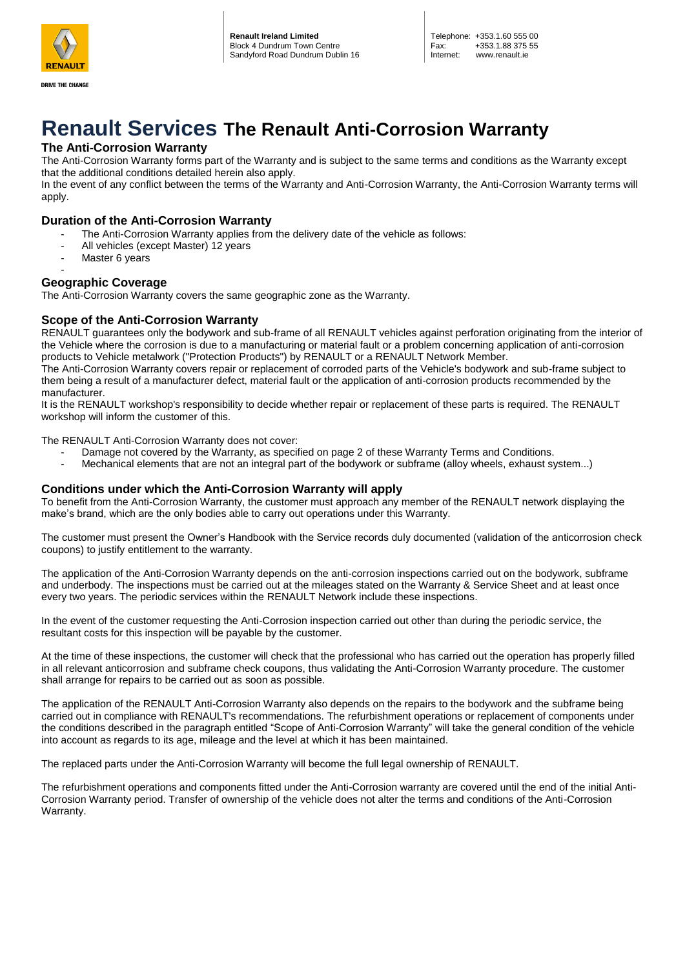

**DRIVE THE CHANGE** 

# **Renault Services The Renault Anti-Corrosion Warranty**

## **The Anti-Corrosion Warranty**

The Anti-Corrosion Warranty forms part of the Warranty and is subject to the same terms and conditions as the Warranty except that the additional conditions detailed herein also apply.

In the event of any conflict between the terms of the Warranty and Anti-Corrosion Warranty, the Anti-Corrosion Warranty terms will apply.

## **Duration of the Anti-Corrosion Warranty**

- The Anti-Corrosion Warranty applies from the delivery date of the vehicle as follows:
- All vehicles (except Master) 12 years
- Master 6 years

#### - **Geographic Coverage**

The Anti-Corrosion Warranty covers the same geographic zone as the Warranty.

## **Scope of the Anti-Corrosion Warranty**

RENAULT guarantees only the bodywork and sub-frame of all RENAULT vehicles against perforation originating from the interior of the Vehicle where the corrosion is due to a manufacturing or material fault or a problem concerning application of anti-corrosion products to Vehicle metalwork ("Protection Products") by RENAULT or a RENAULT Network Member.

The Anti-Corrosion Warranty covers repair or replacement of corroded parts of the Vehicle's bodywork and sub-frame subject to them being a result of a manufacturer defect, material fault or the application of anti-corrosion products recommended by the manufacturer.

It is the RENAULT workshop's responsibility to decide whether repair or replacement of these parts is required. The RENAULT workshop will inform the customer of this.

The RENAULT Anti-Corrosion Warranty does not cover:

- Damage not covered by the Warranty, as specified on page 2 of these Warranty Terms and Conditions.
- Mechanical elements that are not an integral part of the bodywork or subframe (alloy wheels, exhaust system...)

## **Conditions under which the Anti-Corrosion Warranty will apply**

To benefit from the Anti-Corrosion Warranty, the customer must approach any member of the RENAULT network displaying the make's brand, which are the only bodies able to carry out operations under this Warranty.

The customer must present the Owner's Handbook with the Service records duly documented (validation of the anticorrosion check coupons) to justify entitlement to the warranty.

The application of the Anti-Corrosion Warranty depends on the anti-corrosion inspections carried out on the bodywork, subframe and underbody. The inspections must be carried out at the mileages stated on the Warranty & Service Sheet and at least once every two years. The periodic services within the RENAULT Network include these inspections.

In the event of the customer requesting the Anti-Corrosion inspection carried out other than during the periodic service, the resultant costs for this inspection will be payable by the customer.

At the time of these inspections, the customer will check that the professional who has carried out the operation has properly filled in all relevant anticorrosion and subframe check coupons, thus validating the Anti-Corrosion Warranty procedure. The customer shall arrange for repairs to be carried out as soon as possible.

The application of the RENAULT Anti-Corrosion Warranty also depends on the repairs to the bodywork and the subframe being carried out in compliance with RENAULT's recommendations. The refurbishment operations or replacement of components under the conditions described in the paragraph entitled "Scope of Anti-Corrosion Warranty" will take the general condition of the vehicle into account as regards to its age, mileage and the level at which it has been maintained.

The replaced parts under the Anti-Corrosion Warranty will become the full legal ownership of RENAULT.

The refurbishment operations and components fitted under the Anti-Corrosion warranty are covered until the end of the initial Anti-Corrosion Warranty period. Transfer of ownership of the vehicle does not alter the terms and conditions of the Anti-Corrosion Warranty.